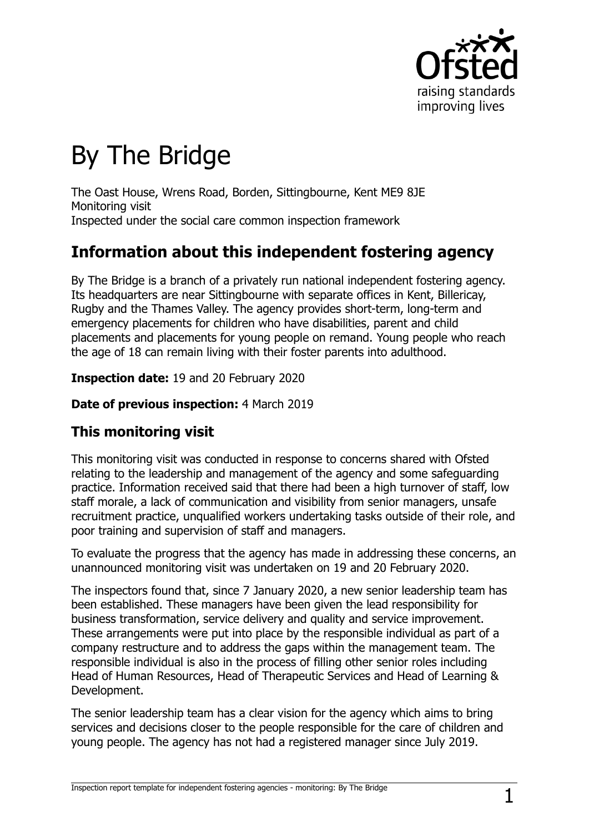

# By The Bridge

The Oast House, Wrens Road, Borden, Sittingbourne, Kent ME9 8JE Monitoring visit Inspected under the social care common inspection framework

## **Information about this independent fostering agency**

By The Bridge is a branch of a privately run national independent fostering agency. Its headquarters are near Sittingbourne with separate offices in Kent, Billericay, Rugby and the Thames Valley. The agency provides short-term, long-term and emergency placements for children who have disabilities, parent and child placements and placements for young people on remand. Young people who reach the age of 18 can remain living with their foster parents into adulthood.

**Inspection date:** 19 and 20 February 2020

#### **Date of previous inspection:** 4 March 2019

#### **This monitoring visit**

This monitoring visit was conducted in response to concerns shared with Ofsted relating to the leadership and management of the agency and some safeguarding practice. Information received said that there had been a high turnover of staff, low staff morale, a lack of communication and visibility from senior managers, unsafe recruitment practice, unqualified workers undertaking tasks outside of their role, and poor training and supervision of staff and managers.

To evaluate the progress that the agency has made in addressing these concerns, an unannounced monitoring visit was undertaken on 19 and 20 February 2020.

The inspectors found that, since 7 January 2020, a new senior leadership team has been established. These managers have been given the lead responsibility for business transformation, service delivery and quality and service improvement. These arrangements were put into place by the responsible individual as part of a company restructure and to address the gaps within the management team. The responsible individual is also in the process of filling other senior roles including Head of Human Resources, Head of Therapeutic Services and Head of Learning & Development.

The senior leadership team has a clear vision for the agency which aims to bring services and decisions closer to the people responsible for the care of children and young people. The agency has not had a registered manager since July 2019.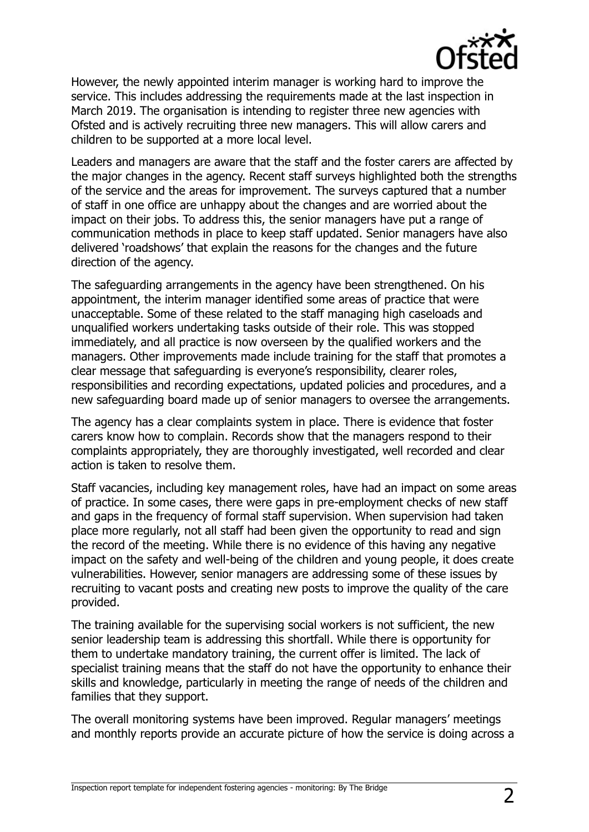

However, the newly appointed interim manager is working hard to improve the service. This includes addressing the requirements made at the last inspection in March 2019. The organisation is intending to register three new agencies with Ofsted and is actively recruiting three new managers. This will allow carers and children to be supported at a more local level.

Leaders and managers are aware that the staff and the foster carers are affected by the major changes in the agency. Recent staff surveys highlighted both the strengths of the service and the areas for improvement. The surveys captured that a number of staff in one office are unhappy about the changes and are worried about the impact on their jobs. To address this, the senior managers have put a range of communication methods in place to keep staff updated. Senior managers have also delivered 'roadshows' that explain the reasons for the changes and the future direction of the agency.

The safeguarding arrangements in the agency have been strengthened. On his appointment, the interim manager identified some areas of practice that were unacceptable. Some of these related to the staff managing high caseloads and unqualified workers undertaking tasks outside of their role. This was stopped immediately, and all practice is now overseen by the qualified workers and the managers. Other improvements made include training for the staff that promotes a clear message that safeguarding is everyone's responsibility, clearer roles, responsibilities and recording expectations, updated policies and procedures, and a new safeguarding board made up of senior managers to oversee the arrangements.

The agency has a clear complaints system in place. There is evidence that foster carers know how to complain. Records show that the managers respond to their complaints appropriately, they are thoroughly investigated, well recorded and clear action is taken to resolve them.

Staff vacancies, including key management roles, have had an impact on some areas of practice. In some cases, there were gaps in pre-employment checks of new staff and gaps in the frequency of formal staff supervision. When supervision had taken place more regularly, not all staff had been given the opportunity to read and sign the record of the meeting. While there is no evidence of this having any negative impact on the safety and well-being of the children and young people, it does create vulnerabilities. However, senior managers are addressing some of these issues by recruiting to vacant posts and creating new posts to improve the quality of the care provided.

The training available for the supervising social workers is not sufficient, the new senior leadership team is addressing this shortfall. While there is opportunity for them to undertake mandatory training, the current offer is limited. The lack of specialist training means that the staff do not have the opportunity to enhance their skills and knowledge, particularly in meeting the range of needs of the children and families that they support.

The overall monitoring systems have been improved. Regular managers' meetings and monthly reports provide an accurate picture of how the service is doing across a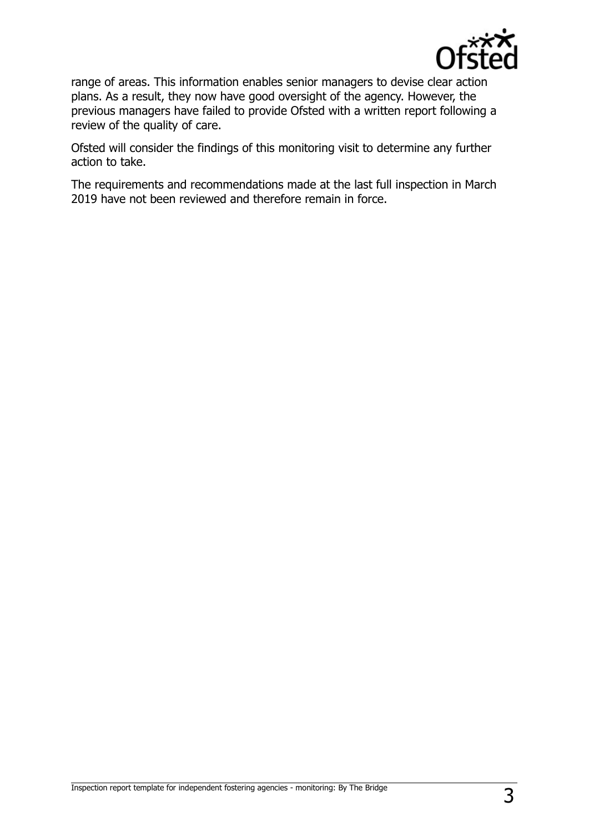

range of areas. This information enables senior managers to devise clear action plans. As a result, they now have good oversight of the agency. However, the previous managers have failed to provide Ofsted with a written report following a review of the quality of care.

Ofsted will consider the findings of this monitoring visit to determine any further action to take.

The requirements and recommendations made at the last full inspection in March 2019 have not been reviewed and therefore remain in force.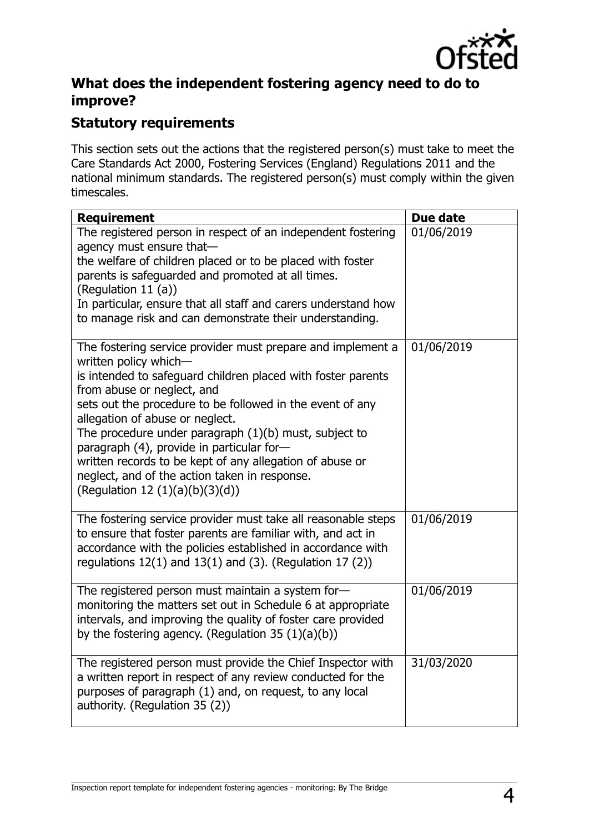

#### **What does the independent fostering agency need to do to improve?**

#### **Statutory requirements**

This section sets out the actions that the registered person(s) must take to meet the Care Standards Act 2000, Fostering Services (England) Regulations 2011 and the national minimum standards. The registered person(s) must comply within the given timescales.

| <b>Requirement</b>                                                                                                          | Due date   |
|-----------------------------------------------------------------------------------------------------------------------------|------------|
| The registered person in respect of an independent fostering<br>agency must ensure that-                                    | 01/06/2019 |
| the welfare of children placed or to be placed with foster                                                                  |            |
| parents is safeguarded and promoted at all times.                                                                           |            |
| (Regulation 11 $(a)$ )                                                                                                      |            |
| In particular, ensure that all staff and carers understand how                                                              |            |
| to manage risk and can demonstrate their understanding.                                                                     |            |
|                                                                                                                             |            |
| The fostering service provider must prepare and implement a                                                                 | 01/06/2019 |
| written policy which-                                                                                                       |            |
| is intended to safeguard children placed with foster parents<br>from abuse or neglect, and                                  |            |
| sets out the procedure to be followed in the event of any                                                                   |            |
| allegation of abuse or neglect.                                                                                             |            |
| The procedure under paragraph $(1)(b)$ must, subject to                                                                     |            |
| paragraph (4), provide in particular for-                                                                                   |            |
| written records to be kept of any allegation of abuse or                                                                    |            |
| neglect, and of the action taken in response.                                                                               |            |
| (Regulation 12 $(1)(a)(b)(3)(d)$ )                                                                                          |            |
|                                                                                                                             |            |
| The fostering service provider must take all reasonable steps                                                               | 01/06/2019 |
| to ensure that foster parents are familiar with, and act in                                                                 |            |
| accordance with the policies established in accordance with                                                                 |            |
| regulations $12(1)$ and $13(1)$ and (3). (Regulation 17 (2))                                                                |            |
|                                                                                                                             |            |
| The registered person must maintain a system for-                                                                           | 01/06/2019 |
| monitoring the matters set out in Schedule 6 at appropriate<br>intervals, and improving the quality of foster care provided |            |
|                                                                                                                             |            |
| by the fostering agency. (Regulation 35 $(1)(a)(b)$ )                                                                       |            |
| The registered person must provide the Chief Inspector with                                                                 | 31/03/2020 |
| a written report in respect of any review conducted for the                                                                 |            |
| purposes of paragraph (1) and, on request, to any local                                                                     |            |
| authority. (Regulation 35 (2))                                                                                              |            |
|                                                                                                                             |            |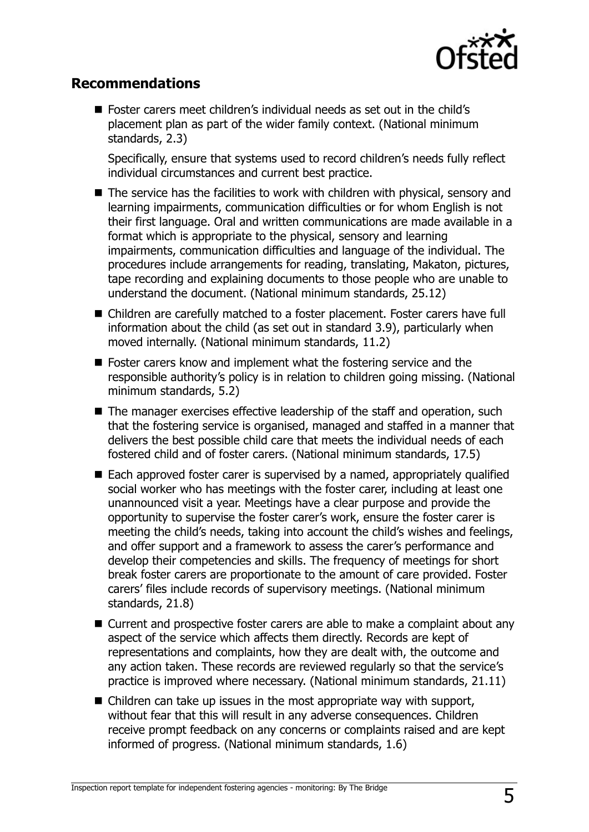

#### **Recommendations**

■ Foster carers meet children's individual needs as set out in the child's placement plan as part of the wider family context. (National minimum standards, 2.3)

Specifically, ensure that systems used to record children's needs fully reflect individual circumstances and current best practice.

- $\blacksquare$  The service has the facilities to work with children with physical, sensory and learning impairments, communication difficulties or for whom English is not their first language. Oral and written communications are made available in a format which is appropriate to the physical, sensory and learning impairments, communication difficulties and language of the individual. The procedures include arrangements for reading, translating, Makaton, pictures, tape recording and explaining documents to those people who are unable to understand the document. (National minimum standards, 25.12)
- Children are carefully matched to a foster placement. Foster carers have full information about the child (as set out in standard 3.9), particularly when moved internally. (National minimum standards, 11.2)
- Foster carers know and implement what the fostering service and the responsible authority's policy is in relation to children going missing. (National minimum standards, 5.2)
- The manager exercises effective leadership of the staff and operation, such that the fostering service is organised, managed and staffed in a manner that delivers the best possible child care that meets the individual needs of each fostered child and of foster carers. (National minimum standards, 17.5)
- Each approved foster carer is supervised by a named, appropriately qualified social worker who has meetings with the foster carer, including at least one unannounced visit a year. Meetings have a clear purpose and provide the opportunity to supervise the foster carer's work, ensure the foster carer is meeting the child's needs, taking into account the child's wishes and feelings, and offer support and a framework to assess the carer's performance and develop their competencies and skills. The frequency of meetings for short break foster carers are proportionate to the amount of care provided. Foster carers' files include records of supervisory meetings. (National minimum standards, 21.8)
- Current and prospective foster carers are able to make a complaint about any aspect of the service which affects them directly. Records are kept of representations and complaints, how they are dealt with, the outcome and any action taken. These records are reviewed regularly so that the service's practice is improved where necessary. (National minimum standards, 21.11)
- $\blacksquare$  Children can take up issues in the most appropriate way with support, without fear that this will result in any adverse consequences. Children receive prompt feedback on any concerns or complaints raised and are kept informed of progress. (National minimum standards, 1.6)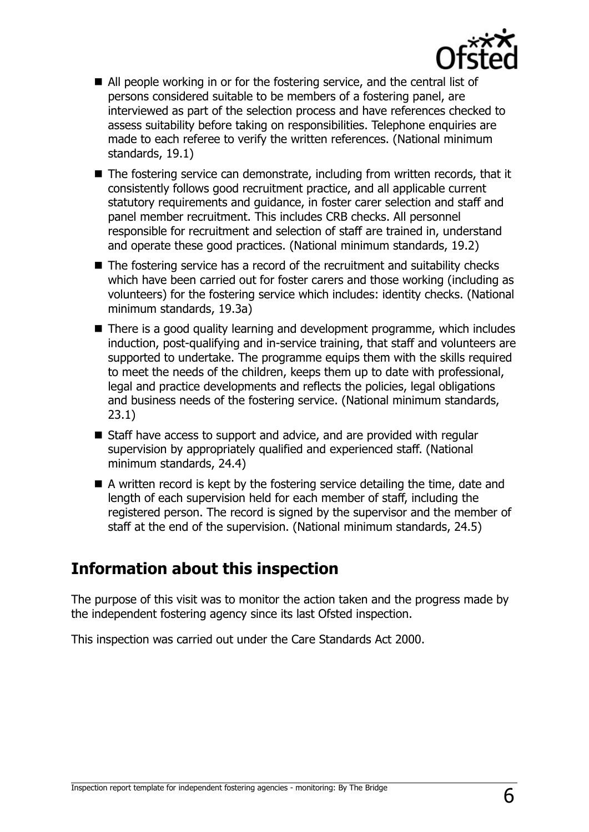

- All people working in or for the fostering service, and the central list of persons considered suitable to be members of a fostering panel, are interviewed as part of the selection process and have references checked to assess suitability before taking on responsibilities. Telephone enquiries are made to each referee to verify the written references. (National minimum standards, 19.1)
- The fostering service can demonstrate, including from written records, that it consistently follows good recruitment practice, and all applicable current statutory requirements and guidance, in foster carer selection and staff and panel member recruitment. This includes CRB checks. All personnel responsible for recruitment and selection of staff are trained in, understand and operate these good practices. (National minimum standards, 19.2)
- The fostering service has a record of the recruitment and suitability checks which have been carried out for foster carers and those working (including as volunteers) for the fostering service which includes: identity checks. (National minimum standards, 19.3a)
- There is a good quality learning and development programme, which includes induction, post-qualifying and in-service training, that staff and volunteers are supported to undertake. The programme equips them with the skills required to meet the needs of the children, keeps them up to date with professional, legal and practice developments and reflects the policies, legal obligations and business needs of the fostering service. (National minimum standards, 23.1)
- Staff have access to support and advice, and are provided with regular supervision by appropriately qualified and experienced staff. (National minimum standards, 24.4)
- A written record is kept by the fostering service detailing the time, date and length of each supervision held for each member of staff, including the registered person. The record is signed by the supervisor and the member of staff at the end of the supervision. (National minimum standards, 24.5)

### **Information about this inspection**

The purpose of this visit was to monitor the action taken and the progress made by the independent fostering agency since its last Ofsted inspection.

This inspection was carried out under the Care Standards Act 2000.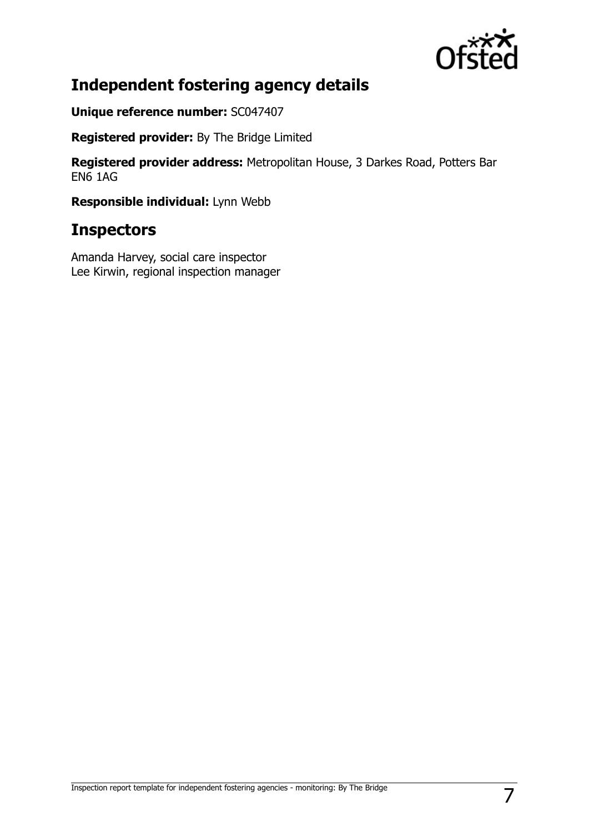

## **Independent fostering agency details**

**Unique reference number:** SC047407

**Registered provider:** By The Bridge Limited

**Registered provider address:** Metropolitan House, 3 Darkes Road, Potters Bar EN6 1AG

**Responsible individual:** Lynn Webb

## **Inspectors**

Amanda Harvey, social care inspector Lee Kirwin, regional inspection manager